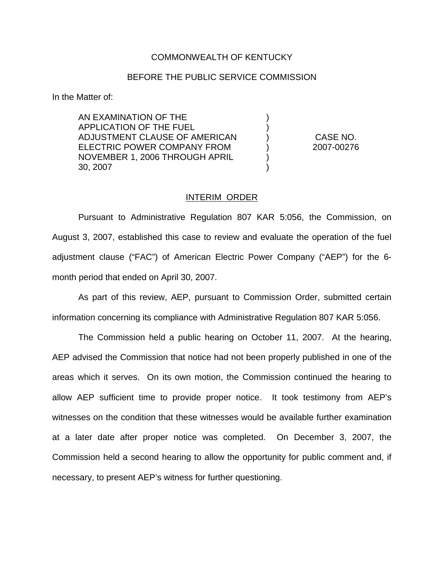## COMMONWEALTH OF KENTUCKY

## BEFORE THE PUBLIC SERVICE COMMISSION

) )

) )

In the Matter of:

AN EXAMINATION OF THE APPLICATION OF THE FUEL ADJUSTMENT CLAUSE OF AMERICAN ELECTRIC POWER COMPANY FROM NOVEMBER 1, 2006 THROUGH APRIL 30, 2007

) CASE NO. ) 2007-00276

## INTERIM ORDER

Pursuant to Administrative Regulation 807 KAR 5:056, the Commission, on August 3, 2007, established this case to review and evaluate the operation of the fuel adjustment clause ("FAC") of American Electric Power Company ("AEP") for the 6 month period that ended on April 30, 2007.

As part of this review, AEP, pursuant to Commission Order, submitted certain information concerning its compliance with Administrative Regulation 807 KAR 5:056.

The Commission held a public hearing on October 11, 2007. At the hearing, AEP advised the Commission that notice had not been properly published in one of the areas which it serves. On its own motion, the Commission continued the hearing to allow AEP sufficient time to provide proper notice. It took testimony from AEP's witnesses on the condition that these witnesses would be available further examination at a later date after proper notice was completed. On December 3, 2007, the Commission held a second hearing to allow the opportunity for public comment and, if necessary, to present AEP's witness for further questioning.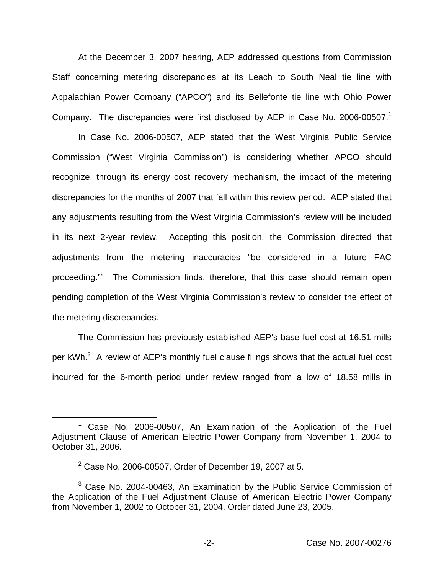At the December 3, 2007 hearing, AEP addressed questions from Commission Staff concerning metering discrepancies at its Leach to South Neal tie line with Appalachian Power Company ("APCO") and its Bellefonte tie line with Ohio Power Company. The discrepancies were first disclosed by AEP in Case No. 2006-00507.<sup>1</sup>

In Case No. 2006-00507, AEP stated that the West Virginia Public Service Commission ("West Virginia Commission") is considering whether APCO should recognize, through its energy cost recovery mechanism, the impact of the metering discrepancies for the months of 2007 that fall within this review period. AEP stated that any adjustments resulting from the West Virginia Commission's review will be included in its next 2-year review. Accepting this position, the Commission directed that adjustments from the metering inaccuracies "be considered in a future FAC proceeding."<sup>2</sup> The Commission finds, therefore, that this case should remain open pending completion of the West Virginia Commission's review to consider the effect of the metering discrepancies.

The Commission has previously established AEP's base fuel cost at 16.51 mills per  $kWh$ <sup>3</sup> A review of AEP's monthly fuel clause filings shows that the actual fuel cost incurred for the 6-month period under review ranged from a low of 18.58 mills in

<sup>&</sup>lt;sup>1</sup> Case No. 2006-00507, An Examination of the Application of the Fuel Adjustment Clause of American Electric Power Company from November 1, 2004 to October 31, 2006.

 $2$  Case No. 2006-00507, Order of December 19, 2007 at 5.

 $3$  Case No. 2004-00463, An Examination by the Public Service Commission of the Application of the Fuel Adjustment Clause of American Electric Power Company from November 1, 2002 to October 31, 2004, Order dated June 23, 2005.